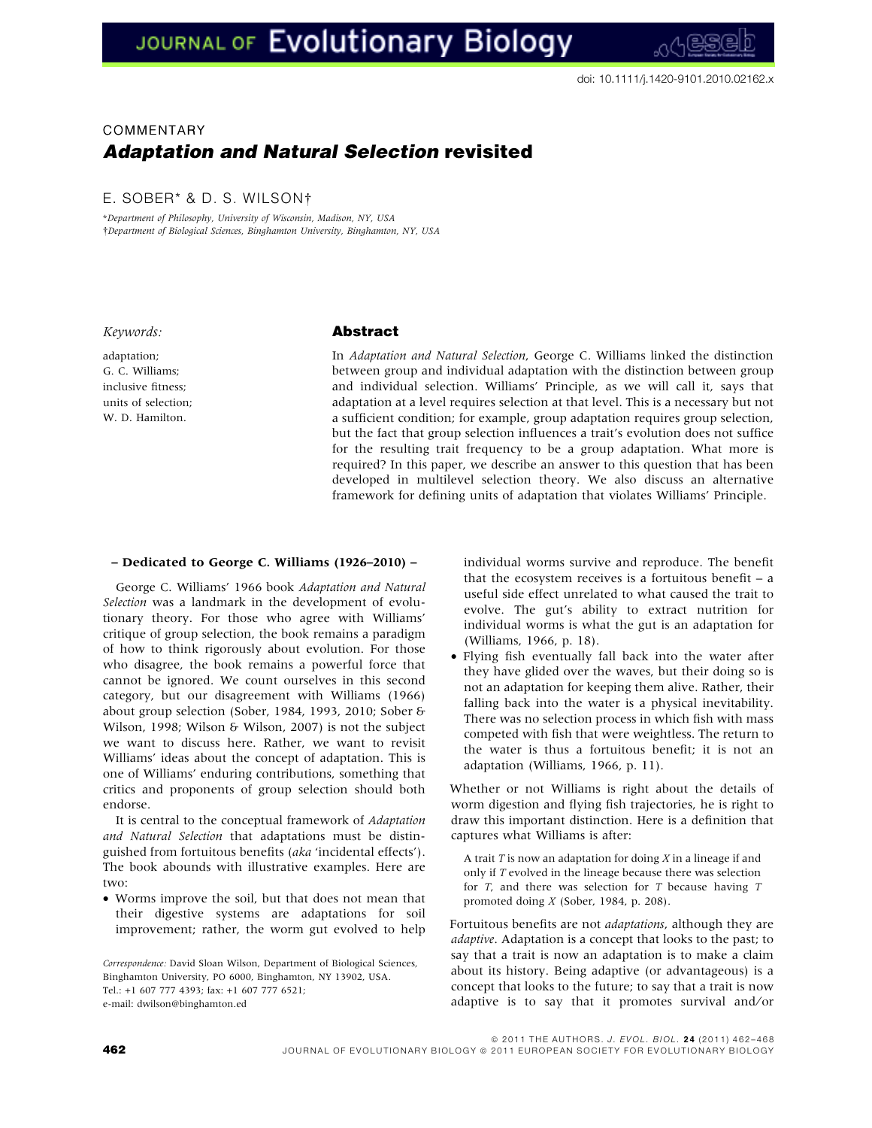# **COMMENTARY** Adaptation and Natural Selection revisited

# E. SOBER\* & D. S. WILSON

\**Department of Philosophy, University of Wisconsin, Madison, NY, USA Department of Biological Sciences, Binghamton University, Binghamton, NY, USA*

*Keywords:*

adaptation; G. C. Williams; inclusive fitness; units of selection; W. D. Hamilton.

### Abstract

In *Adaptation and Natural Selection*, George C. Williams linked the distinction between group and individual adaptation with the distinction between group and individual selection. Williams' Principle, as we will call it, says that adaptation at a level requires selection at that level. This is a necessary but not a sufficient condition; for example, group adaptation requires group selection, but the fact that group selection influences a trait's evolution does not suffice for the resulting trait frequency to be a group adaptation. What more is required? In this paper, we describe an answer to this question that has been developed in multilevel selection theory. We also discuss an alternative framework for defining units of adaptation that violates Williams' Principle.

## – Dedicated to George C. Williams (1926–2010) –

George C. Williams' 1966 book *Adaptation and Natural Selection* was a landmark in the development of evolutionary theory. For those who agree with Williams' critique of group selection, the book remains a paradigm of how to think rigorously about evolution. For those who disagree, the book remains a powerful force that cannot be ignored. We count ourselves in this second category, but our disagreement with Williams (1966) about group selection (Sober, 1984, 1993, 2010; Sober & Wilson, 1998; Wilson & Wilson, 2007) is not the subject we want to discuss here. Rather, we want to revisit Williams' ideas about the concept of adaptation. This is one of Williams' enduring contributions, something that critics and proponents of group selection should both endorse.

It is central to the conceptual framework of *Adaptation and Natural Selection* that adaptations must be distinguished from fortuitous benefits (*aka* 'incidental effects'). The book abounds with illustrative examples. Here are two:

• Worms improve the soil, but that does not mean that their digestive systems are adaptations for soil improvement; rather, the worm gut evolved to help individual worms survive and reproduce. The benefit that the ecosystem receives is a fortuitous benefit – a useful side effect unrelated to what caused the trait to evolve. The gut's ability to extract nutrition for individual worms is what the gut is an adaptation for (Williams, 1966, p. 18).

• Flying fish eventually fall back into the water after they have glided over the waves, but their doing so is not an adaptation for keeping them alive. Rather, their falling back into the water is a physical inevitability. There was no selection process in which fish with mass competed with fish that were weightless. The return to the water is thus a fortuitous benefit; it is not an adaptation (Williams, 1966, p. 11).

Whether or not Williams is right about the details of worm digestion and flying fish trajectories, he is right to draw this important distinction. Here is a definition that captures what Williams is after:

A trait *T* is now an adaptation for doing *X* in a lineage if and only if *T* evolved in the lineage because there was selection for *T*, and there was selection for *T* because having *T* promoted doing *X* (Sober, 1984, p. 208).

Fortuitous benefits are not *adaptations*, although they are *adaptive*. Adaptation is a concept that looks to the past; to say that a trait is now an adaptation is to make a claim about its history. Being adaptive (or advantageous) is a concept that looks to the future; to say that a trait is now adaptive is to say that it promotes survival and/or

*Correspondence:* David Sloan Wilson, Department of Biological Sciences, Binghamton University, PO 6000, Binghamton, NY 13902, USA. Tel.: +1 607 777 4393; fax: +1 607 777 6521; e-mail: dwilson@binghamton.ed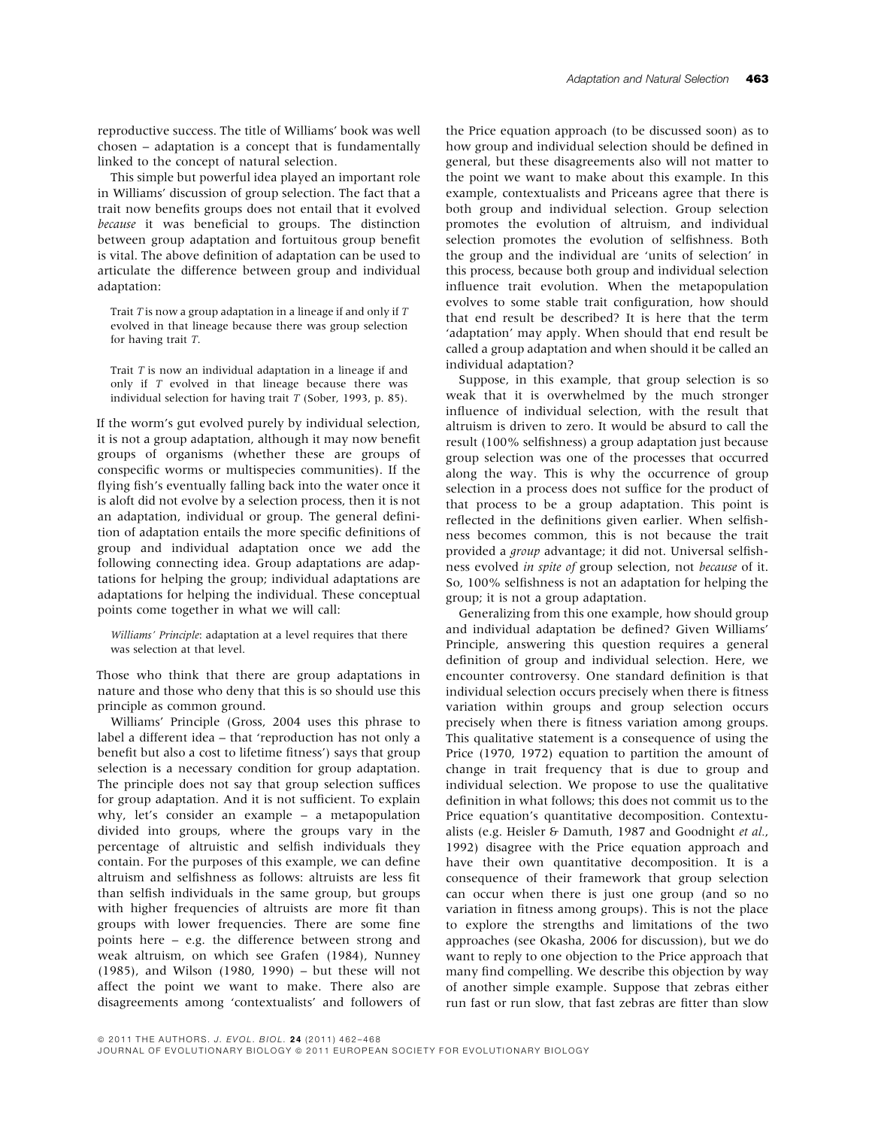reproductive success. The title of Williams' book was well chosen – adaptation is a concept that is fundamentally linked to the concept of natural selection.

This simple but powerful idea played an important role in Williams' discussion of group selection. The fact that a trait now benefits groups does not entail that it evolved *because* it was beneficial to groups. The distinction between group adaptation and fortuitous group benefit is vital. The above definition of adaptation can be used to articulate the difference between group and individual adaptation:

Trait *T* is now a group adaptation in a lineage if and only if *T* evolved in that lineage because there was group selection for having trait *T*.

Trait *T* is now an individual adaptation in a lineage if and only if *T* evolved in that lineage because there was individual selection for having trait *T* (Sober, 1993, p. 85).

If the worm's gut evolved purely by individual selection, it is not a group adaptation, although it may now benefit groups of organisms (whether these are groups of conspecific worms or multispecies communities). If the flying fish's eventually falling back into the water once it is aloft did not evolve by a selection process, then it is not an adaptation, individual or group. The general definition of adaptation entails the more specific definitions of group and individual adaptation once we add the following connecting idea. Group adaptations are adaptations for helping the group; individual adaptations are adaptations for helping the individual. These conceptual points come together in what we will call:

*Williams' Principle*: adaptation at a level requires that there was selection at that level.

Those who think that there are group adaptations in nature and those who deny that this is so should use this principle as common ground.

Williams' Principle (Gross, 2004 uses this phrase to label a different idea – that 'reproduction has not only a benefit but also a cost to lifetime fitness') says that group selection is a necessary condition for group adaptation. The principle does not say that group selection suffices for group adaptation. And it is not sufficient. To explain why, let's consider an example – a metapopulation divided into groups, where the groups vary in the percentage of altruistic and selfish individuals they contain. For the purposes of this example, we can define altruism and selfishness as follows: altruists are less fit than selfish individuals in the same group, but groups with higher frequencies of altruists are more fit than groups with lower frequencies. There are some fine points here – e.g. the difference between strong and weak altruism, on which see Grafen (1984), Nunney (1985), and Wilson (1980, 1990) – but these will not affect the point we want to make. There also are disagreements among 'contextualists' and followers of

the Price equation approach (to be discussed soon) as to how group and individual selection should be defined in general, but these disagreements also will not matter to the point we want to make about this example. In this example, contextualists and Priceans agree that there is both group and individual selection. Group selection promotes the evolution of altruism, and individual selection promotes the evolution of selfishness. Both the group and the individual are 'units of selection' in this process, because both group and individual selection influence trait evolution. When the metapopulation evolves to some stable trait configuration, how should that end result be described? It is here that the term 'adaptation' may apply. When should that end result be called a group adaptation and when should it be called an individual adaptation?

Suppose, in this example, that group selection is so weak that it is overwhelmed by the much stronger influence of individual selection, with the result that altruism is driven to zero. It would be absurd to call the result (100% selfishness) a group adaptation just because group selection was one of the processes that occurred along the way. This is why the occurrence of group selection in a process does not suffice for the product of that process to be a group adaptation. This point is reflected in the definitions given earlier. When selfishness becomes common, this is not because the trait provided a *group* advantage; it did not. Universal selfishness evolved *in spite of* group selection, not *because* of it. So, 100% selfishness is not an adaptation for helping the group; it is not a group adaptation.

Generalizing from this one example, how should group and individual adaptation be defined? Given Williams' Principle, answering this question requires a general definition of group and individual selection. Here, we encounter controversy. One standard definition is that individual selection occurs precisely when there is fitness variation within groups and group selection occurs precisely when there is fitness variation among groups. This qualitative statement is a consequence of using the Price (1970, 1972) equation to partition the amount of change in trait frequency that is due to group and individual selection. We propose to use the qualitative definition in what follows; this does not commit us to the Price equation's quantitative decomposition. Contextualists (e.g. Heisler & Damuth, 1987 and Goodnight *et al.*, 1992) disagree with the Price equation approach and have their own quantitative decomposition. It is a consequence of their framework that group selection can occur when there is just one group (and so no variation in fitness among groups). This is not the place to explore the strengths and limitations of the two approaches (see Okasha, 2006 for discussion), but we do want to reply to one objection to the Price approach that many find compelling. We describe this objection by way of another simple example. Suppose that zebras either run fast or run slow, that fast zebras are fitter than slow

© 2011 THE AUTHORS, J. EVOL. BIOL. 24 (2011) 462-468

JOURNAL OF EVOLUTIONARY BIOLOGY @ 2011 EUROPEAN SOCIETY FOR EVOLUTIONARY BIOLOGY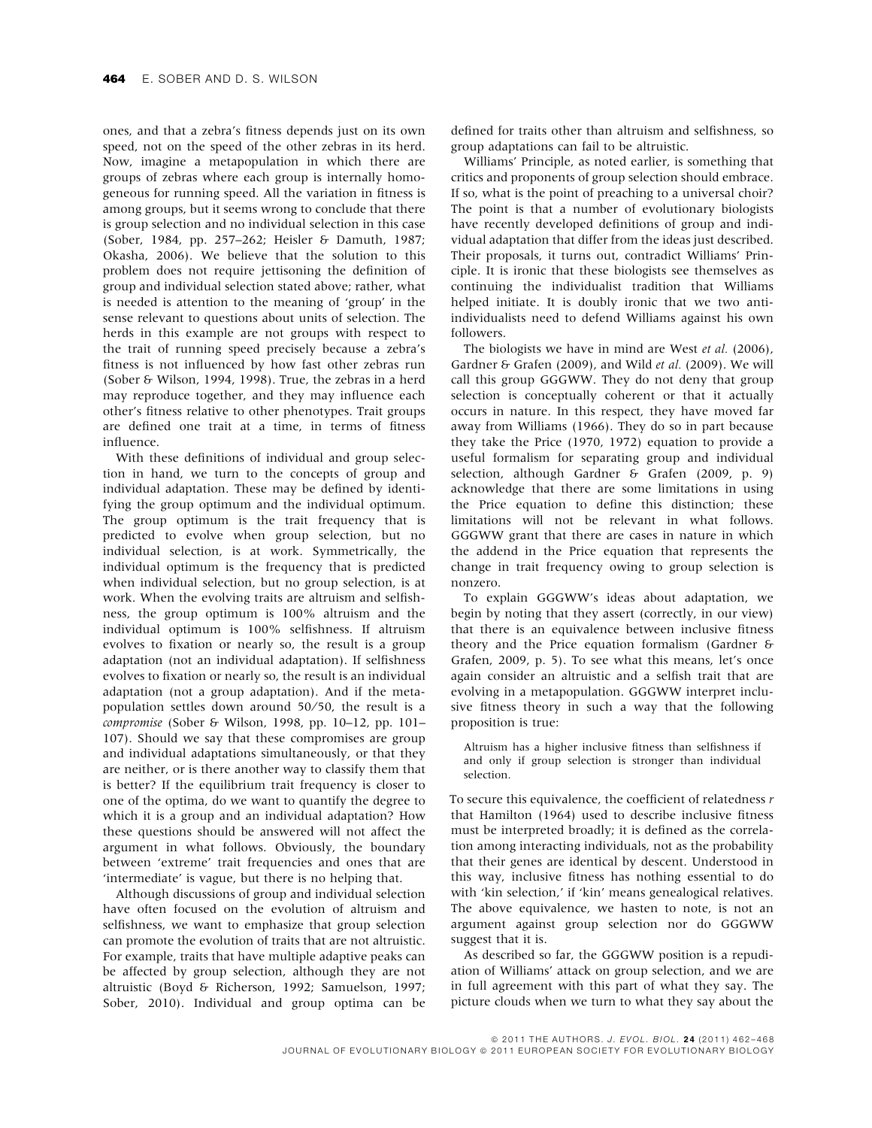ones, and that a zebra's fitness depends just on its own speed, not on the speed of the other zebras in its herd. Now, imagine a metapopulation in which there are groups of zebras where each group is internally homogeneous for running speed. All the variation in fitness is among groups, but it seems wrong to conclude that there is group selection and no individual selection in this case (Sober, 1984, pp. 257–262; Heisler & Damuth, 1987; Okasha, 2006). We believe that the solution to this problem does not require jettisoning the definition of group and individual selection stated above; rather, what is needed is attention to the meaning of 'group' in the sense relevant to questions about units of selection. The herds in this example are not groups with respect to the trait of running speed precisely because a zebra's fitness is not influenced by how fast other zebras run (Sober & Wilson, 1994, 1998). True, the zebras in a herd may reproduce together, and they may influence each other's fitness relative to other phenotypes. Trait groups are defined one trait at a time, in terms of fitness influence.

With these definitions of individual and group selection in hand, we turn to the concepts of group and individual adaptation. These may be defined by identifying the group optimum and the individual optimum. The group optimum is the trait frequency that is predicted to evolve when group selection, but no individual selection, is at work. Symmetrically, the individual optimum is the frequency that is predicted when individual selection, but no group selection, is at work. When the evolving traits are altruism and selfishness, the group optimum is 100% altruism and the individual optimum is 100% selfishness. If altruism evolves to fixation or nearly so, the result is a group adaptation (not an individual adaptation). If selfishness evolves to fixation or nearly so, the result is an individual adaptation (not a group adaptation). And if the metapopulation settles down around 50/50, the result is a *compromise* (Sober & Wilson, 1998, pp. 10–12, pp. 101– 107). Should we say that these compromises are group and individual adaptations simultaneously, or that they are neither, or is there another way to classify them that is better? If the equilibrium trait frequency is closer to one of the optima, do we want to quantify the degree to which it is a group and an individual adaptation? How these questions should be answered will not affect the argument in what follows. Obviously, the boundary between 'extreme' trait frequencies and ones that are 'intermediate' is vague, but there is no helping that.

Although discussions of group and individual selection have often focused on the evolution of altruism and selfishness, we want to emphasize that group selection can promote the evolution of traits that are not altruistic. For example, traits that have multiple adaptive peaks can be affected by group selection, although they are not altruistic (Boyd & Richerson, 1992; Samuelson, 1997; Sober, 2010). Individual and group optima can be defined for traits other than altruism and selfishness, so group adaptations can fail to be altruistic.

Williams' Principle, as noted earlier, is something that critics and proponents of group selection should embrace. If so, what is the point of preaching to a universal choir? The point is that a number of evolutionary biologists have recently developed definitions of group and individual adaptation that differ from the ideas just described. Their proposals, it turns out, contradict Williams' Principle. It is ironic that these biologists see themselves as continuing the individualist tradition that Williams helped initiate. It is doubly ironic that we two antiindividualists need to defend Williams against his own followers.

The biologists we have in mind are West *et al.* (2006), Gardner & Grafen (2009), and Wild *et al.* (2009). We will call this group GGGWW. They do not deny that group selection is conceptually coherent or that it actually occurs in nature. In this respect, they have moved far away from Williams (1966). They do so in part because they take the Price (1970, 1972) equation to provide a useful formalism for separating group and individual selection, although Gardner & Grafen (2009, p. 9) acknowledge that there are some limitations in using the Price equation to define this distinction; these limitations will not be relevant in what follows. GGGWW grant that there are cases in nature in which the addend in the Price equation that represents the change in trait frequency owing to group selection is nonzero.

To explain GGGWW's ideas about adaptation, we begin by noting that they assert (correctly, in our view) that there is an equivalence between inclusive fitness theory and the Price equation formalism (Gardner & Grafen, 2009, p. 5). To see what this means, let's once again consider an altruistic and a selfish trait that are evolving in a metapopulation. GGGWW interpret inclusive fitness theory in such a way that the following proposition is true:

Altruism has a higher inclusive fitness than selfishness if and only if group selection is stronger than individual selection.

To secure this equivalence, the coefficient of relatedness *r* that Hamilton (1964) used to describe inclusive fitness must be interpreted broadly; it is defined as the correlation among interacting individuals, not as the probability that their genes are identical by descent. Understood in this way, inclusive fitness has nothing essential to do with 'kin selection,' if 'kin' means genealogical relatives. The above equivalence, we hasten to note, is not an argument against group selection nor do GGGWW suggest that it is.

As described so far, the GGGWW position is a repudiation of Williams' attack on group selection, and we are in full agreement with this part of what they say. The picture clouds when we turn to what they say about the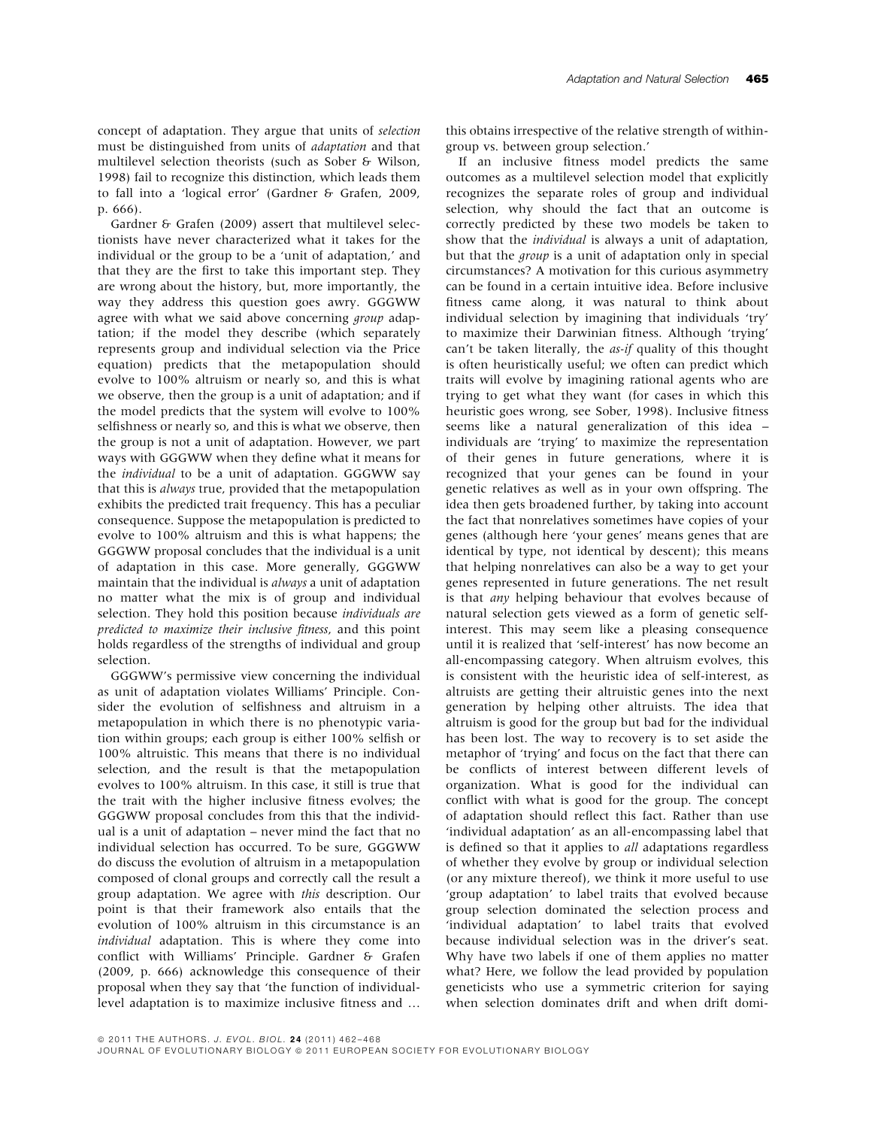concept of adaptation. They argue that units of *selection* must be distinguished from units of *adaptation* and that multilevel selection theorists (such as Sober & Wilson, 1998) fail to recognize this distinction, which leads them to fall into a 'logical error' (Gardner & Grafen, 2009, p. 666).

Gardner & Grafen (2009) assert that multilevel selectionists have never characterized what it takes for the individual or the group to be a 'unit of adaptation,' and that they are the first to take this important step. They are wrong about the history, but, more importantly, the way they address this question goes awry. GGGWW agree with what we said above concerning *group* adaptation; if the model they describe (which separately represents group and individual selection via the Price equation) predicts that the metapopulation should evolve to 100% altruism or nearly so, and this is what we observe, then the group is a unit of adaptation; and if the model predicts that the system will evolve to 100% selfishness or nearly so, and this is what we observe, then the group is not a unit of adaptation. However, we part ways with GGGWW when they define what it means for the *individual* to be a unit of adaptation. GGGWW say that this is *always* true, provided that the metapopulation exhibits the predicted trait frequency. This has a peculiar consequence. Suppose the metapopulation is predicted to evolve to 100% altruism and this is what happens; the GGGWW proposal concludes that the individual is a unit of adaptation in this case. More generally, GGGWW maintain that the individual is *always* a unit of adaptation no matter what the mix is of group and individual selection. They hold this position because *individuals are predicted to maximize their inclusive fitness*, and this point holds regardless of the strengths of individual and group selection.

GGGWW's permissive view concerning the individual as unit of adaptation violates Williams' Principle. Consider the evolution of selfishness and altruism in a metapopulation in which there is no phenotypic variation within groups; each group is either 100% selfish or 100% altruistic. This means that there is no individual selection, and the result is that the metapopulation evolves to 100% altruism. In this case, it still is true that the trait with the higher inclusive fitness evolves; the GGGWW proposal concludes from this that the individual is a unit of adaptation – never mind the fact that no individual selection has occurred. To be sure, GGGWW do discuss the evolution of altruism in a metapopulation composed of clonal groups and correctly call the result a group adaptation. We agree with *this* description. Our point is that their framework also entails that the evolution of 100% altruism in this circumstance is an *individual* adaptation. This is where they come into conflict with Williams' Principle. Gardner & Grafen (2009, p. 666) acknowledge this consequence of their proposal when they say that 'the function of individuallevel adaptation is to maximize inclusive fitness and …

this obtains irrespective of the relative strength of withingroup vs. between group selection.'

If an inclusive fitness model predicts the same outcomes as a multilevel selection model that explicitly recognizes the separate roles of group and individual selection, why should the fact that an outcome is correctly predicted by these two models be taken to show that the *individual* is always a unit of adaptation, but that the *group* is a unit of adaptation only in special circumstances? A motivation for this curious asymmetry can be found in a certain intuitive idea. Before inclusive fitness came along, it was natural to think about individual selection by imagining that individuals 'try' to maximize their Darwinian fitness. Although 'trying' can't be taken literally, the *as-if* quality of this thought is often heuristically useful; we often can predict which traits will evolve by imagining rational agents who are trying to get what they want (for cases in which this heuristic goes wrong, see Sober, 1998). Inclusive fitness seems like a natural generalization of this idea – individuals are 'trying' to maximize the representation of their genes in future generations, where it is recognized that your genes can be found in your genetic relatives as well as in your own offspring. The idea then gets broadened further, by taking into account the fact that nonrelatives sometimes have copies of your genes (although here 'your genes' means genes that are identical by type, not identical by descent); this means that helping nonrelatives can also be a way to get your genes represented in future generations. The net result is that *any* helping behaviour that evolves because of natural selection gets viewed as a form of genetic selfinterest. This may seem like a pleasing consequence until it is realized that 'self-interest' has now become an all-encompassing category. When altruism evolves, this is consistent with the heuristic idea of self-interest, as altruists are getting their altruistic genes into the next generation by helping other altruists. The idea that altruism is good for the group but bad for the individual has been lost. The way to recovery is to set aside the metaphor of 'trying' and focus on the fact that there can be conflicts of interest between different levels of organization. What is good for the individual can conflict with what is good for the group. The concept of adaptation should reflect this fact. Rather than use 'individual adaptation' as an all-encompassing label that is defined so that it applies to *all* adaptations regardless of whether they evolve by group or individual selection (or any mixture thereof), we think it more useful to use 'group adaptation' to label traits that evolved because group selection dominated the selection process and 'individual adaptation' to label traits that evolved because individual selection was in the driver's seat. Why have two labels if one of them applies no matter what? Here, we follow the lead provided by population geneticists who use a symmetric criterion for saying when selection dominates drift and when drift domi-

<sup>© 2011</sup> THE AUTHORS, J. EVOL. BIOL. 24 (2011) 462-468

JOURNAL OF EVOLUTIONARY BIOLOGY @ 2011 EUROPEAN SOCIETY FOR EVOLUTIONARY BIOLOGY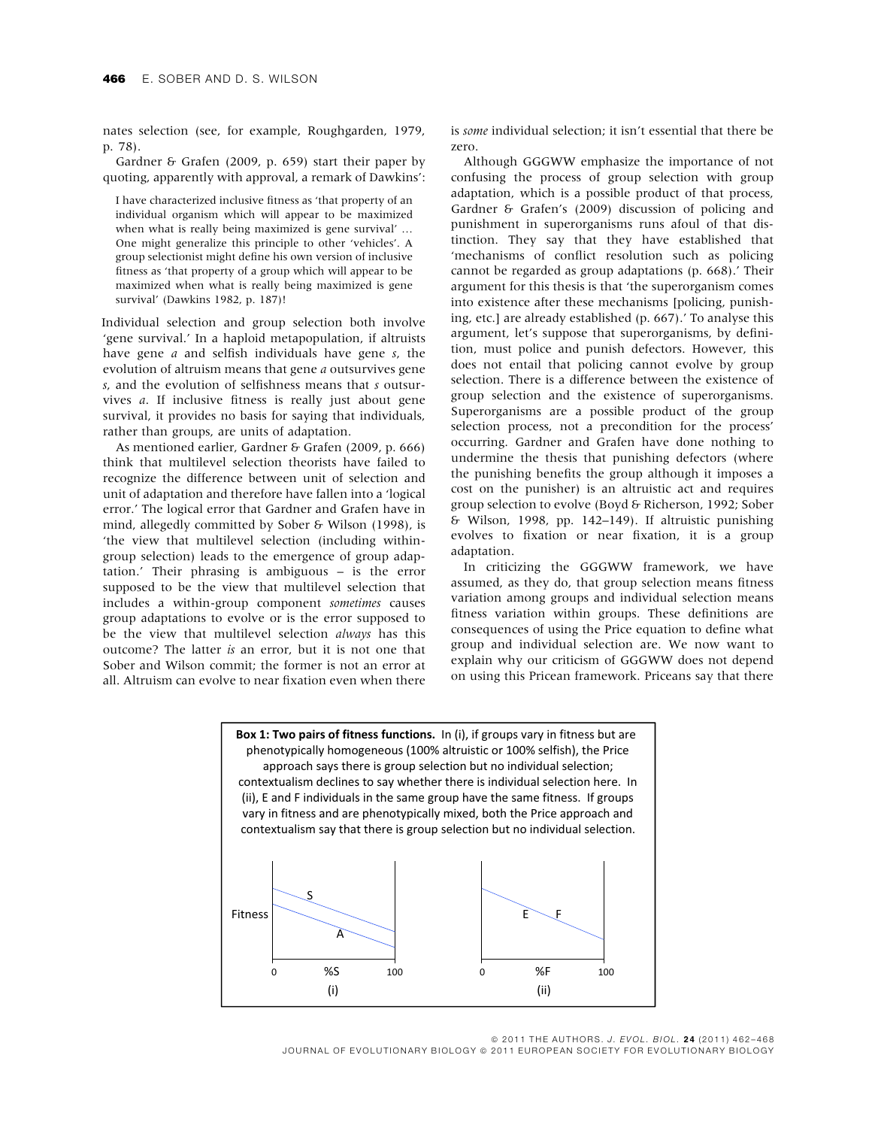nates selection (see, for example, Roughgarden, 1979, p. 78).

Gardner & Grafen (2009, p. 659) start their paper by quoting, apparently with approval, a remark of Dawkins':

I have characterized inclusive fitness as 'that property of an individual organism which will appear to be maximized when what is really being maximized is gene survival' … One might generalize this principle to other 'vehicles'. A group selectionist might define his own version of inclusive fitness as 'that property of a group which will appear to be maximized when what is really being maximized is gene survival' (Dawkins 1982, p. 187)!

Individual selection and group selection both involve 'gene survival.' In a haploid metapopulation, if altruists have gene *a* and selfish individuals have gene *s*, the evolution of altruism means that gene *a* outsurvives gene *s*, and the evolution of selfishness means that *s* outsurvives *a*. If inclusive fitness is really just about gene survival, it provides no basis for saying that individuals, rather than groups, are units of adaptation.

As mentioned earlier, Gardner & Grafen (2009, p. 666) think that multilevel selection theorists have failed to recognize the difference between unit of selection and unit of adaptation and therefore have fallen into a 'logical error.' The logical error that Gardner and Grafen have in mind, allegedly committed by Sober & Wilson (1998), is 'the view that multilevel selection (including withingroup selection) leads to the emergence of group adaptation.' Their phrasing is ambiguous – is the error supposed to be the view that multilevel selection that includes a within-group component *sometimes* causes group adaptations to evolve or is the error supposed to be the view that multilevel selection *always* has this outcome? The latter *is* an error, but it is not one that Sober and Wilson commit; the former is not an error at all. Altruism can evolve to near fixation even when there is *some* individual selection; it isn't essential that there be zero.

Although GGGWW emphasize the importance of not confusing the process of group selection with group adaptation, which is a possible product of that process, Gardner & Grafen's (2009) discussion of policing and punishment in superorganisms runs afoul of that distinction. They say that they have established that 'mechanisms of conflict resolution such as policing cannot be regarded as group adaptations (p. 668).' Their argument for this thesis is that 'the superorganism comes into existence after these mechanisms [policing, punishing, etc.] are already established (p. 667).' To analyse this argument, let's suppose that superorganisms, by definition, must police and punish defectors. However, this does not entail that policing cannot evolve by group selection. There is a difference between the existence of group selection and the existence of superorganisms. Superorganisms are a possible product of the group selection process, not a precondition for the process' occurring. Gardner and Grafen have done nothing to undermine the thesis that punishing defectors (where the punishing benefits the group although it imposes a cost on the punisher) is an altruistic act and requires group selection to evolve (Boyd & Richerson, 1992; Sober & Wilson, 1998, pp. 142–149). If altruistic punishing evolves to fixation or near fixation, it is a group adaptation.

In criticizing the GGGWW framework, we have assumed, as they do, that group selection means fitness variation among groups and individual selection means fitness variation within groups. These definitions are consequences of using the Price equation to define what group and individual selection are. We now want to explain why our criticism of GGGWW does not depend on using this Pricean framework. Priceans say that there



© 2011 THE AUTHORS J EVOL BIOL 24 (2011) 462-468 JOURNAL OF EVOLUTIONARY BIOLOGY @ 2011 EUROPEAN SOCIETY FOR EVOLUTIONARY BIOLOGY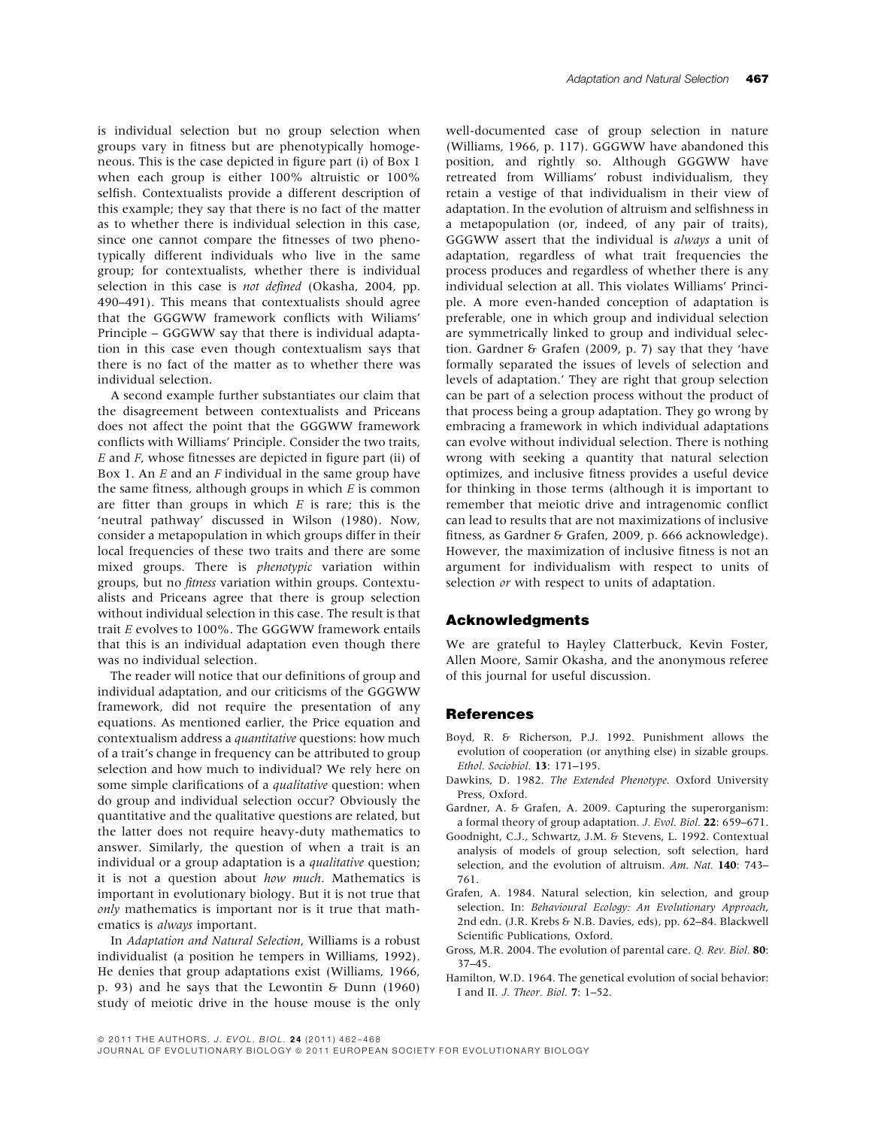is individual selection but no group selection when groups vary in fitness but are phenotypically homogeneous. This is the case depicted in figure part (i) of Box 1 when each group is either 100% altruistic or 100% selfish. Contextualists provide a different description of this example; they say that there is no fact of the matter as to whether there is individual selection in this case, since one cannot compare the fitnesses of two phenotypically different individuals who live in the same group; for contextualists, whether there is individual selection in this case is *not defined* (Okasha, 2004, pp. 490–491). This means that contextualists should agree that the GGGWW framework conflicts with Wiliams' Principle – GGGWW say that there is individual adaptation in this case even though contextualism says that there is no fact of the matter as to whether there was individual selection.

A second example further substantiates our claim that the disagreement between contextualists and Priceans does not affect the point that the GGGWW framework conflicts with Williams' Principle. Consider the two traits, *E* and *F*, whose fitnesses are depicted in figure part (ii) of Box 1. An *E* and an *F* individual in the same group have the same fitness, although groups in which *E* is common are fitter than groups in which *E* is rare; this is the 'neutral pathway' discussed in Wilson (1980). Now, consider a metapopulation in which groups differ in their local frequencies of these two traits and there are some mixed groups. There is *phenotypic* variation within groups, but no *fitness* variation within groups. Contextualists and Priceans agree that there is group selection without individual selection in this case. The result is that trait *E* evolves to 100%. The GGGWW framework entails that this is an individual adaptation even though there was no individual selection.

The reader will notice that our definitions of group and individual adaptation, and our criticisms of the GGGWW framework, did not require the presentation of any equations. As mentioned earlier, the Price equation and contextualism address a *quantitative* questions: how much of a trait's change in frequency can be attributed to group selection and how much to individual? We rely here on some simple clarifications of a *qualitative* question: when do group and individual selection occur? Obviously the quantitative and the qualitative questions are related, but the latter does not require heavy-duty mathematics to answer. Similarly, the question of when a trait is an individual or a group adaptation is a *qualitative* question; it is not a question about *how much*. Mathematics is important in evolutionary biology. But it is not true that *only* mathematics is important nor is it true that mathematics is *always* important.

In *Adaptation and Natural Selection*, Williams is a robust individualist (a position he tempers in Williams, 1992). He denies that group adaptations exist (Williams, 1966, p. 93) and he says that the Lewontin & Dunn (1960) study of meiotic drive in the house mouse is the only well-documented case of group selection in nature (Williams, 1966, p. 117). GGGWW have abandoned this position, and rightly so. Although GGGWW have retreated from Williams' robust individualism, they retain a vestige of that individualism in their view of adaptation. In the evolution of altruism and selfishness in a metapopulation (or, indeed, of any pair of traits), GGGWW assert that the individual is *always* a unit of adaptation, regardless of what trait frequencies the process produces and regardless of whether there is any individual selection at all. This violates Williams' Principle. A more even-handed conception of adaptation is preferable, one in which group and individual selection are symmetrically linked to group and individual selection. Gardner & Grafen (2009, p. 7) say that they 'have formally separated the issues of levels of selection and levels of adaptation.' They are right that group selection can be part of a selection process without the product of that process being a group adaptation. They go wrong by embracing a framework in which individual adaptations can evolve without individual selection. There is nothing wrong with seeking a quantity that natural selection optimizes, and inclusive fitness provides a useful device for thinking in those terms (although it is important to remember that meiotic drive and intragenomic conflict can lead to results that are not maximizations of inclusive fitness, as Gardner & Grafen, 2009, p. 666 acknowledge). However, the maximization of inclusive fitness is not an argument for individualism with respect to units of selection *or* with respect to units of adaptation.

#### Acknowledgments

We are grateful to Hayley Clatterbuck, Kevin Foster, Allen Moore, Samir Okasha, and the anonymous referee of this journal for useful discussion.

### References

- Boyd, R. & Richerson, P.J. 1992. Punishment allows the evolution of cooperation (or anything else) in sizable groups. *Ethol. Sociobiol.* 13: 171–195.
- Dawkins, D. 1982. *The Extended Phenotype*. Oxford University Press, Oxford.
- Gardner, A. & Grafen, A. 2009. Capturing the superorganism: a formal theory of group adaptation. *J. Evol. Biol.* 22: 659–671.
- Goodnight, C.J., Schwartz, J.M. & Stevens, L. 1992. Contextual analysis of models of group selection, soft selection, hard selection, and the evolution of altruism. *Am. Nat.* 140: 743– 761.
- Grafen, A. 1984. Natural selection, kin selection, and group selection. In: *Behavioural Ecology: An Evolutionary Approach*, 2nd edn. (J.R. Krebs & N.B. Davies, eds), pp. 62–84. Blackwell Scientific Publications, Oxford.
- Gross, M.R. 2004. The evolution of parental care. *Q. Rev. Biol.* 80: 37–45.
- Hamilton, W.D. 1964. The genetical evolution of social behavior: I and II. *J. Theor. Biol.* 7: 1–52.

<sup>© 2011</sup> THE AUTHORS, J. EVOL. BIOL. 24 (2011) 462-468

JOURNAL OF EVOLUTIONARY BIOLOGY @ 2011 EUROPEAN SOCIETY FOR EVOLUTIONARY BIOLOGY